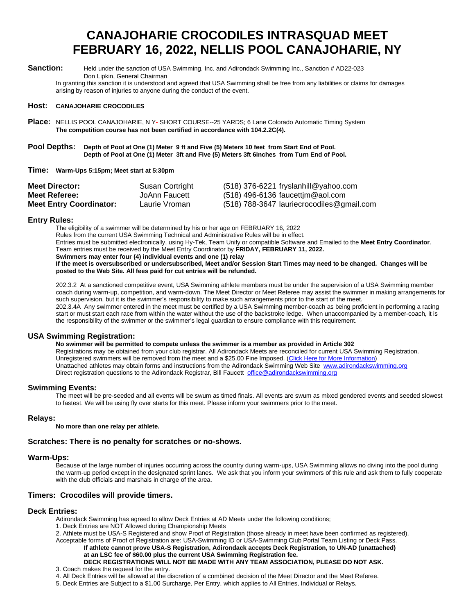## **CANAJOHARIE CROCODILES INTRASQUAD MEET FEBRUARY 16, 2022, NELLIS POOL CANAJOHARIE, NY**

Sanction: Held under the sanction of USA Swimming, Inc. and Adirondack Swimming Inc., Sanction # AD22-023 Don Lipkin, General Chairman

In granting this sanction it is understood and agreed that USA Swimming shall be free from any liabilities or claims for damages arising by reason of injuries to anyone during the conduct of the event.

#### **Host: CANAJOHARIE CROCODILES**

**Place:** NELLIS POOL CANAJOHARIE, N Y**-** SHORT COURSE--25 YARDS; 6 Lane Colorado Automatic Timing System **The competition course has not been certified in accordance with 104.2.2C(4).**

#### **Pool Depths: Depth of Pool at One (1) Meter 9 ft and Five (5) Meters 10 feet from Start End of Pool. Depth of Pool at One (1) Meter 3ft and Five (5) Meters 3ft 6inches from Turn End of Pool.**

#### **Time: Warm-Ups 5:15pm; Meet start at 5:30pm**

| <b>Meet Director:</b>          | Susan Cortright | $(518)$ 376-6221 fryslanhill@yahoo.com    |
|--------------------------------|-----------------|-------------------------------------------|
| Meet Referee:                  | JoAnn Faucett   | $(518)$ 496-6136 faucettim@aol.com        |
| <b>Meet Entry Coordinator:</b> | Laurie Vroman   | (518) 788-3647 lauriecrocodiles@gmail.com |

#### **Entry Rules:**

The eligibility of a swimmer will be determined by his or her age on FEBRUARY 16, 2022 Rules from the current USA Swimming Technical and Administrative Rules will be in effect. Entries must be submitted electronically, using Hy-Tek, Team Unify or compatible Software and Emailed to the **Meet Entry Coordinator**. Team entries must be received by the Meet Entry Coordinator by **FRIDAY, FEBRUARY 11, 2022. Swimmers may enter four (4) individual events and one (1) relay**

**If the meet is oversubscribed or undersubscribed, Meet and/or Session Start Times may need to be changed. Changes will be posted to the Web Site. All fees paid for cut entries will be refunded.**

202.3.2 At a sanctioned competitive event, USA Swimming athlete members must be under the supervision of a USA Swimming member coach during warm-up, competition, and warm-down. The Meet Director or Meet Referee may assist the swimmer in making arrangements for such supervision, but it is the swimmer's responsibility to make such arrangements prior to the start of the meet. 202.3.4A Any swimmer entered in the meet must be certified by a USA Swimming member-coach as being proficient in performing a racing start or must start each race from within the water without the use of the backstroke ledge. When unaccompanied by a member-coach, it is the responsibility of the swimmer or the swimmer's legal guardian to ensure compliance with this requirement.

#### **USA Swimming Registration:**

**No swimmer will be permitted to compete unless the swimmer is a member as provided in Article 302** Registrations may be obtained from your club registrar. All Adirondack Meets are reconciled for current USA Swimming Registration. Unregistered swimmers will be removed from the meet and a \$25.00 Fine Imposed. (Click Here for More Information) Unattached athletes may obtain forms and instructions from the Adirondack Swimming Web Site [www.adirondackswimming.org](http://www.adirondackswimming.org/) Direct registration questions to the Adirondack Registrar, Bill Faucett [office@adirondackswimming.org](mailto:office@adirondackswimming.org)

#### **Swimming Events:**

The meet will be pre-seeded and all events will be swum as timed finals. All events are swum as mixed gendered events and seeded slowest to fastest. We will be using fly over starts for this meet. Please inform your swimmers prior to the meet.

#### **Relays:**

**No more than one relay per athlete.**

#### **Scratches: There is no penalty for scratches or no-shows.**

#### **Warm-Ups:**

Because of the large number of injuries occurring across the country during warm-ups, USA Swimming allows no diving into the pool during the warm-up period except in the designated sprint lanes. We ask that you inform your swimmers of this rule and ask them to fully cooperate with the club officials and marshals in charge of the area.

#### **Timers: Crocodiles will provide timers.**

#### **Deck Entries:**

Adirondack Swimming has agreed to allow Deck Entries at AD Meets under the following conditions;

1. Deck Entries are NOT Allowed during Championship Meets

2. Athlete must be USA-S Registered and show Proof of Registration (those already in meet have been confirmed as registered).

Acceptable forms of Proof of Registration are: USA-Swimming ID or USA-Swimming Club Portal Team Listing or Deck Pass. **If athlete cannot prove USA-S Registration, Adirondack accepts Deck Registration***,* **to UN-AD (unattached)**

**at an LSC fee of \$60.00 plus the current USA Swimming Registration fee.**

**DECK REGISTRATIONS WILL NOT BE MADE WITH ANY TEAM ASSOCIATION, PLEASE DO NOT ASK.** 3. Coach makes the request for the entry.

- 4. All Deck Entries will be allowed at the discretion of a combined decision of the Meet Director and the Meet Referee.
- 5. Deck Entries are Subject to a \$1.00 Surcharge, Per Entry, which applies to All Entries, Individual or Relays.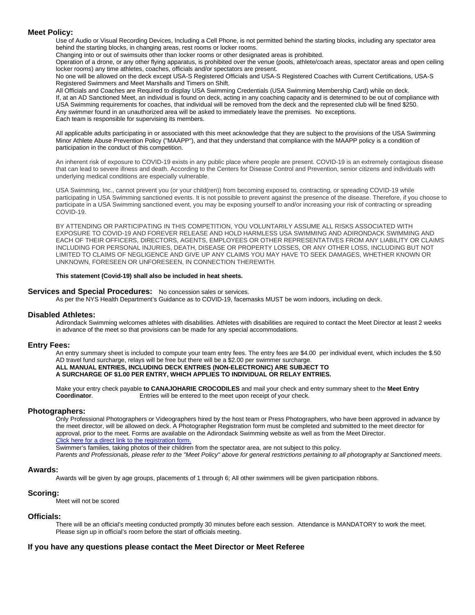#### **Meet Policy:**

Use of Audio or Visual Recording Devices, Including a Cell Phone, is not permitted behind the starting blocks, including any spectator area behind the starting blocks, in changing areas, rest rooms or locker rooms.

Changing into or out of swimsuits other than locker rooms or other designated areas is prohibited.

Operation of a drone, or any other flying apparatus, is prohibited over the venue (pools, athlete/coach areas, spectator areas and open ceiling locker rooms) any time athletes, coaches, officials and/or spectators are present.

No one will be allowed on the deck except USA-S Registered Officials and USA-S Registered Coaches with Current Certifications, USA-S Registered Swimmers and Meet Marshalls and Timers on Shift.

All Officials and Coaches are Required to display USA Swimming Credentials (USA Swimming Membership Card) while on deck. If, at an AD Sanctioned Meet, an individual is found on deck, acting in any coaching capacity and is determined to be out of compliance with USA Swimming requirements for coaches, that individual will be removed from the deck and the represented club will be fined \$250. Any swimmer found in an unauthorized area will be asked to immediately leave the premises. No exceptions. Each team is responsible for supervising its members.

All applicable adults participating in or associated with this meet acknowledge that they are subject to the provisions of the USA Swimming Minor Athlete Abuse Prevention Policy ("MAAPP"), and that they understand that compliance with the MAAPP policy is a condition of participation in the conduct of this competition.

An inherent risk of exposure to COVID-19 exists in any public place where people are present. COVID-19 is an extremely contagious disease that can lead to severe illness and death. According to the Centers for Disease Control and Prevention, senior citizens and individuals with underlying medical conditions are especially vulnerable.

USA Swimming, Inc., cannot prevent you (or your child(ren)) from becoming exposed to, contracting, or spreading COVID-19 while participating in USA Swimming sanctioned events. It is not possible to prevent against the presence of the disease. Therefore, if you choose to participate in a USA Swimming sanctioned event, you may be exposing yourself to and/or increasing your risk of contracting or spreading COVID-19.

BY ATTENDING OR PARTICIPATING IN THIS COMPETITION, YOU VOLUNTARILY ASSUME ALL RISKS ASSOCIATED WITH EXPOSURE TO COVID-19 AND FOREVER RELEASE AND HOLD HARMLESS USA SWIMMING AND ADIRONDACK SWIMMING AND EACH OF THEIR OFFICERS, DIRECTORS, AGENTS, EMPLOYEES OR OTHER REPRESENTATIVES FROM ANY LIABILITY OR CLAIMS INCLUDING FOR PERSONAL INJURIES, DEATH, DISEASE OR PROPERTY LOSSES, OR ANY OTHER LOSS, INCLUDING BUT NOT LIMITED TO CLAIMS OF NEGLIGENCE AND GIVE UP ANY CLAIMS YOU MAY HAVE TO SEEK DAMAGES, WHETHER KNOWN OR UNKNOWN, FORESEEN OR UNFORESEEN, IN CONNECTION THEREWITH.

#### **This statement (Covid-19) shall also be included in heat sheets.**

#### **Services and Special Procedures:** No concession sales or services.

As per the NYS Health Department's Guidance as to COVID-19, facemasks MUST be worn indoors, including on deck.

#### **Disabled Athletes:**

Adirondack Swimming welcomes athletes with disabilities. Athletes with disabilities are required to contact the Meet Director at least 2 weeks in advance of the meet so that provisions can be made for any special accommodations.

#### **Entry Fees:**

An entry summary sheet is included to compute your team entry fees. The entry fees are \$4.00 per individual event, which includes the \$.50 AD travel fund surcharge, relays will be free but there will be a \$2.00 per swimmer surcharge. **ALL MANUAL ENTRIES, INCLUDING DECK ENTRIES (NON-ELECTRONIC) ARE SUBJECT TO**

### **A SURCHARGE OF \$1.00 PER ENTRY, WHICH APPLIES TO INDIVIDUAL OR RELAY ENTRIES.**

Make your entry check payable **to CANAJOHARIE CROCODILES** and mail your check and entry summary sheet to the **Meet Entry**  Entries will be entered to the meet upon receipt of your check.

#### **Photographers:**

Only Professional Photographers or Videographers hired by the host team or Press Photographers, who have been approved in advance by the meet director, will be allowed on deck. A Photographer Registration form must be completed and submitted to the meet director for approval, prior to the meet. Forms are available on the Adirondack Swimming website as well as from the Meet Director. Click here for a direct link to the registration form.

Swimmer's families, taking photos of their children from the spectator area, are not subject to this policy.

*Parents and Professionals, please refer to the "Meet Policy" above for general restrictions pertaining to all photography at Sanctioned meets*.

#### **Awards:**

Awards will be given by age groups, placements of 1 through 6; All other swimmers will be given participation ribbons.

#### **Scoring:**

Meet will not be scored

#### **Officials:**

There will be an official's meeting conducted promptly 30 minutes before each session. Attendance is MANDATORY to work the meet. Please sign up in official's room before the start of officials meeting.

#### **If you have any questions please contact the Meet Director or Meet Referee**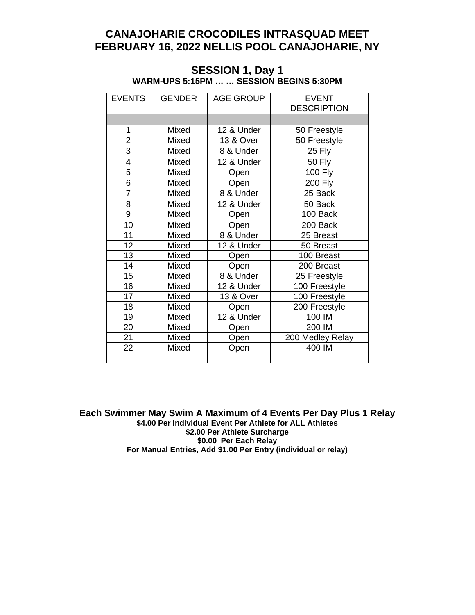## **CANAJOHARIE CROCODILES INTRASQUAD MEET FEBRUARY 16, 2022 NELLIS POOL CANAJOHARIE, NY**

| <b>EVENTS</b>  | GENDER | <b>AGE GROUP</b> | <b>EVENT</b>       |
|----------------|--------|------------------|--------------------|
|                |        |                  | <b>DESCRIPTION</b> |
|                |        |                  |                    |
| 1              | Mixed  | 12 & Under       | 50 Freestyle       |
| $\overline{2}$ | Mixed  | 13 & Over        | 50 Freestyle       |
| 3              | Mixed  | 8 & Under        | <b>25 Fly</b>      |
| 4              | Mixed  | 12 & Under       | <b>50 Fly</b>      |
| 5              | Mixed  | Open             | <b>100 Fly</b>     |
| $\overline{6}$ | Mixed  | Open             | <b>200 Fly</b>     |
| $\overline{7}$ | Mixed  | 8 & Under        | 25 Back            |
| 8              | Mixed  | 12 & Under       | 50 Back            |
| 9              | Mixed  | Open             | 100 Back           |
| 10             | Mixed  | Open             | 200 Back           |
| 11             | Mixed  | 8 & Under        | 25 Breast          |
| 12             | Mixed  | 12 & Under       | 50 Breast          |
| 13             | Mixed  | Open             | 100 Breast         |
| 14             | Mixed  | Open             | 200 Breast         |
| 15             | Mixed  | 8 & Under        | 25 Freestyle       |
| 16             | Mixed  | 12 & Under       | 100 Freestyle      |
| 17             | Mixed  | 13 & Over        | 100 Freestyle      |
| 18             | Mixed  | Open             | 200 Freestyle      |
| 19             | Mixed  | 12 & Under       | 100 IM             |
| 20             | Mixed  | Open             | 200 IM             |
| 21             | Mixed  | Open             | 200 Medley Relay   |
| 22             | Mixed  | Open             | 400 IM             |
|                |        |                  |                    |

### **SESSION 1, Day 1 WARM-UPS 5:15PM … … SESSION BEGINS 5:30PM**

**Each Swimmer May Swim A Maximum of 4 Events Per Day Plus 1 Relay** \$4.00 Per Individual Event Per Athlete for ALL Athletes **\$2.00 Per Athlete Surcharge \$0.00 Per Each Relay For Manual Entries, Add \$1.00 Per Entry (individual or relay)**